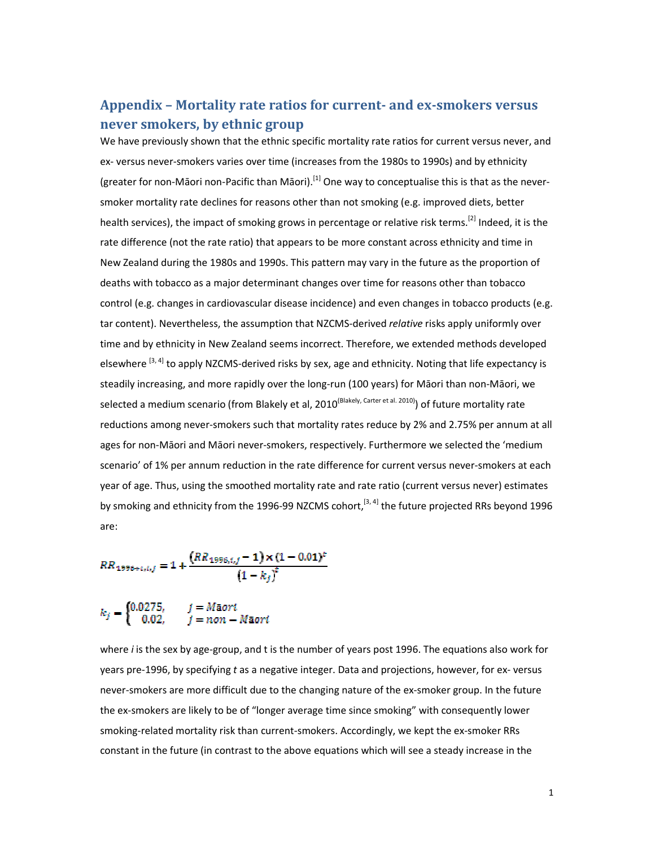## Appendix – Mortality rate ratios for current- and ex-smokers versus never smokers, by ethnic group

We have previously shown that the ethnic specific mortality rate ratios for current versus never, and ex- versus never-smokers varies over time (increases from the 1980s to 1990s) and by ethnicity (greater for non-Māori non-Pacific than Māori).<sup>[1]</sup> One way to conceptualise this is that as the neversmoker mortality rate declines for reasons other than not smoking (e.g. improved diets, better health services), the impact of smoking grows in percentage or relative risk terms.<sup>[2]</sup> Indeed, it is the rate difference (not the rate ratio) that appears to be more constant across ethnicity and time in New Zealand during the 1980s and 1990s. This pattern may vary in the future as the proportion of deaths with tobacco as a major determinant changes over time for reasons other than tobacco control (e.g. changes in cardiovascular disease incidence) and even changes in tobacco products (e.g. tar content). Nevertheless, the assumption that NZCMS-derived relative risks apply uniformly over time and by ethnicity in New Zealand seems incorrect. Therefore, we extended methods developed elsewhere <sup>[3, 4]</sup> to apply NZCMS-derived risks by sex, age and ethnicity. Noting that life expectancy is steadily increasing, and more rapidly over the long-run (100 years) for Māori than non-Māori, we selected a medium scenario (from Blakely et al, 2010<sup>(Blakely, Carter et al. 2010)</sup>) of future mortality rate reductions among never-smokers such that mortality rates reduce by 2% and 2.75% per annum at all ages for non-Māori and Māori never-smokers, respectively. Furthermore we selected the 'medium scenario' of 1% per annum reduction in the rate difference for current versus never-smokers at each year of age. Thus, using the smoothed mortality rate and rate ratio (current versus never) estimates by smoking and ethnicity from the 1996-99 NZCMS cohort,<sup>[3, 4]</sup> the future projected RRs beyond 1996 are:

$$
RR_{1996+c,i,j} = 1 + \frac{(RR_{1996,i,j} - 1) \times (1 - 0.01)^c}{(1 - k_j)^c}
$$

$$
k_j = \begin{cases} 0.0275, & j = M \text{a}ori \\ 0.02, & j = non - M \text{a}ori \end{cases}
$$

where i is the sex by age-group, and t is the number of years post 1996. The equations also work for years pre-1996, by specifying t as a negative integer. Data and projections, however, for ex- versus never-smokers are more difficult due to the changing nature of the ex-smoker group. In the future the ex-smokers are likely to be of "longer average time since smoking" with consequently lower smoking-related mortality risk than current-smokers. Accordingly, we kept the ex-smoker RRs constant in the future (in contrast to the above equations which will see a steady increase in the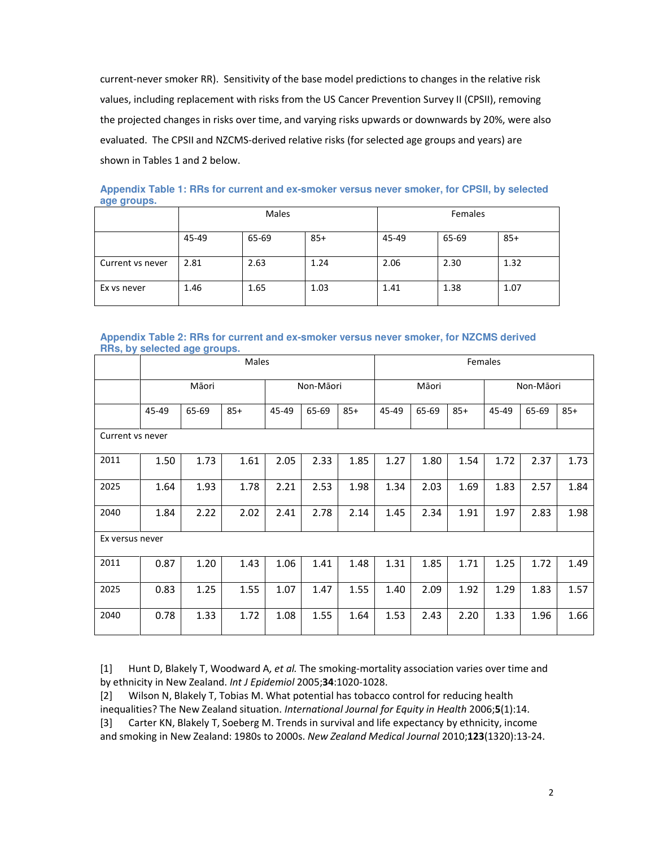current-never smoker RR). Sensitivity of the base model predictions to changes in the relative risk values, including replacement with risks from the US Cancer Prevention Survey II (CPSII), removing the projected changes in risks over time, and varying risks upwards or downwards by 20%, were also evaluated. The CPSII and NZCMS-derived relative risks (for selected age groups and years) are shown in Tables 1 and 2 below.

**Appendix Table 1: RRs for current and ex-smoker versus never smoker, for CPSII, by selected age groups.** 

|                  |       | Males |       | Females |       |       |  |
|------------------|-------|-------|-------|---------|-------|-------|--|
|                  | 45-49 | 65-69 | $85+$ | 45-49   | 65-69 | $85+$ |  |
| Current vs never | 2.81  | 2.63  | 1.24  | 2.06    | 2.30  | 1.32  |  |
| Ex vs never      | 1.46  | 1.65  | 1.03  | 1.41    | 1.38  | 1.07  |  |

## **Appendix Table 2: RRs for current and ex-smoker versus never smoker, for NZCMS derived RRs, by selected age groups.**

|                  | Males |       |       |           |       |       | Females |       |           |       |       |       |
|------------------|-------|-------|-------|-----------|-------|-------|---------|-------|-----------|-------|-------|-------|
|                  | Māori |       |       | Non-Māori |       | Māori |         |       | Non-Māori |       |       |       |
|                  | 45-49 | 65-69 | $85+$ | 45-49     | 65-69 | $85+$ | 45-49   | 65-69 | $85+$     | 45-49 | 65-69 | $85+$ |
| Current vs never |       |       |       |           |       |       |         |       |           |       |       |       |
| 2011             | 1.50  | 1.73  | 1.61  | 2.05      | 2.33  | 1.85  | 1.27    | 1.80  | 1.54      | 1.72  | 2.37  | 1.73  |
| 2025             | 1.64  | 1.93  | 1.78  | 2.21      | 2.53  | 1.98  | 1.34    | 2.03  | 1.69      | 1.83  | 2.57  | 1.84  |
| 2040             | 1.84  | 2.22  | 2.02  | 2.41      | 2.78  | 2.14  | 1.45    | 2.34  | 1.91      | 1.97  | 2.83  | 1.98  |
| Ex versus never  |       |       |       |           |       |       |         |       |           |       |       |       |
| 2011             | 0.87  | 1.20  | 1.43  | 1.06      | 1.41  | 1.48  | 1.31    | 1.85  | 1.71      | 1.25  | 1.72  | 1.49  |
| 2025             | 0.83  | 1.25  | 1.55  | 1.07      | 1.47  | 1.55  | 1.40    | 2.09  | 1.92      | 1.29  | 1.83  | 1.57  |
| 2040             | 0.78  | 1.33  | 1.72  | 1.08      | 1.55  | 1.64  | 1.53    | 2.43  | 2.20      | 1.33  | 1.96  | 1.66  |

[1] Hunt D, Blakely T, Woodward A, et al. The smoking-mortality association varies over time and by ethnicity in New Zealand. Int J Epidemiol 2005;34:1020-1028.

[2] Wilson N, Blakely T, Tobias M. What potential has tobacco control for reducing health inequalities? The New Zealand situation. International Journal for Equity in Health 2006;5(1):14. [3] Carter KN, Blakely T, Soeberg M. Trends in survival and life expectancy by ethnicity, income and smoking in New Zealand: 1980s to 2000s. New Zealand Medical Journal 2010;123(1320):13-24.